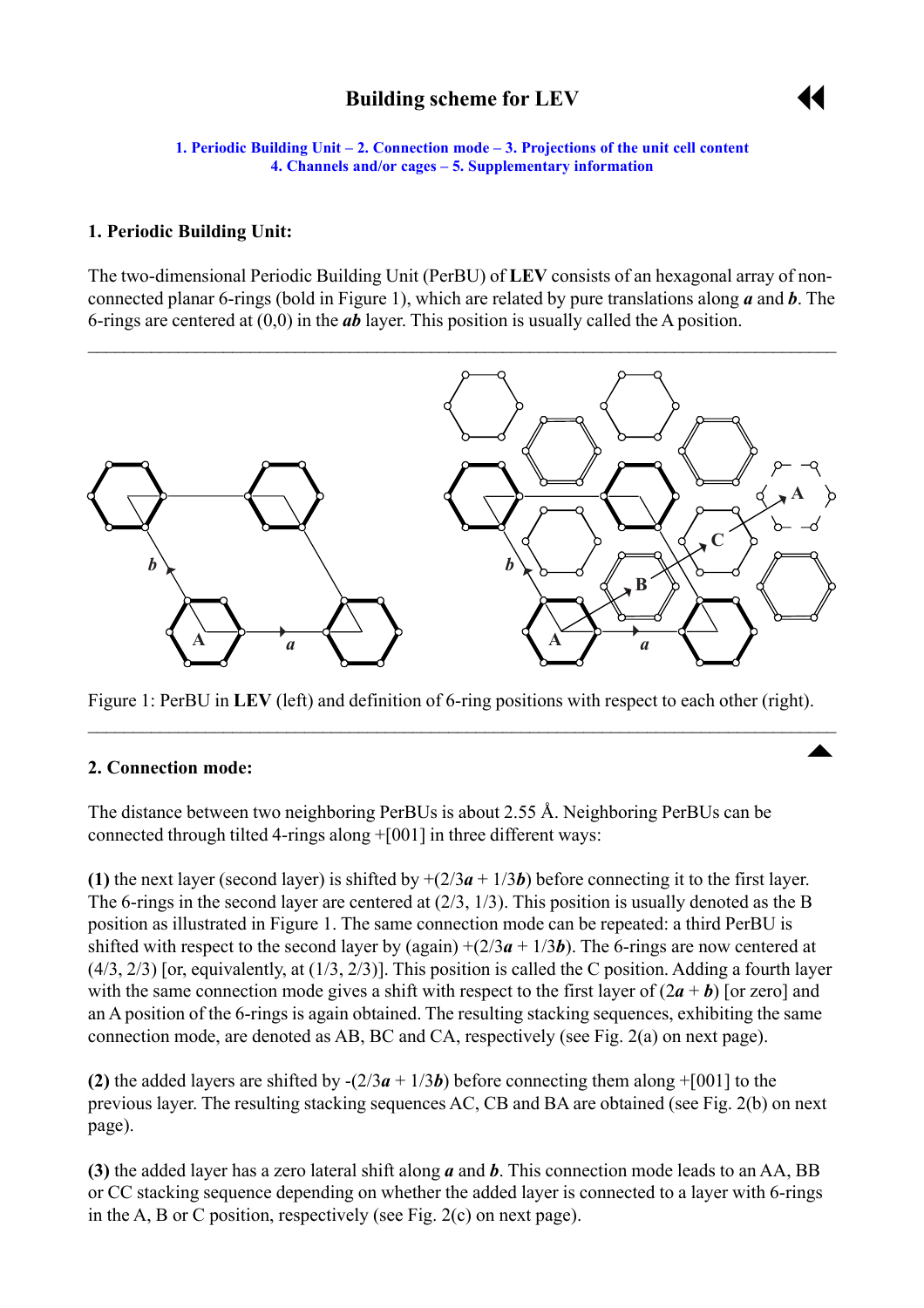# **Building scheme for LEV**



 $\overline{\phantom{a}}$ 

<span id="page-0-0"></span>**1. Periodic Building Unit – 2. Connection mode – [3. Projections of the unit cell content](#page-2-0) [4. Channels and/or cages](#page-2-0) ñ [5. Supplementary information](#page-3-0)**

#### **1. Periodic Building Unit:**

The two-dimensional Periodic Building Unit (PerBU) of **LEV** consists of an hexagonal array of nonconnected planar 6-rings (bold in Figure 1), which are related by pure translations along *a* and *b*. The 6-rings are centered at (0,0) in the *ab* layer. This position is usually called the A position.



Figure 1: PerBU in **LEV** (left) and definition of 6-ring positions with respect to each other (right).

 $\mathcal{L}_\mathcal{L} = \mathcal{L}_\mathcal{L} = \mathcal{L}_\mathcal{L} = \mathcal{L}_\mathcal{L} = \mathcal{L}_\mathcal{L} = \mathcal{L}_\mathcal{L} = \mathcal{L}_\mathcal{L} = \mathcal{L}_\mathcal{L} = \mathcal{L}_\mathcal{L} = \mathcal{L}_\mathcal{L} = \mathcal{L}_\mathcal{L} = \mathcal{L}_\mathcal{L} = \mathcal{L}_\mathcal{L} = \mathcal{L}_\mathcal{L} = \mathcal{L}_\mathcal{L} = \mathcal{L}_\mathcal{L} = \mathcal{L}_\mathcal{L}$ 

#### **2. Connection mode:**

The distance between two neighboring PerBUs is about 2.55 Å. Neighboring PerBUs can be connected through tilted 4-rings along +[001] in three different ways:

**(1)** the next layer (second layer) is shifted by  $+(2/3a + 1/3b)$  before connecting it to the first layer. The 6-rings in the second layer are centered at (2/3, 1/3). This position is usually denoted as the B position as illustrated in Figure 1. The same connection mode can be repeated: a third PerBU is shifted with respect to the second layer by (again)  $+(2/3a + 1/3b)$ . The 6-rings are now centered at  $(4/3, 2/3)$  [or, equivalently, at  $(1/3, 2/3)$ ]. This position is called the C position. Adding a fourth layer with the same connection mode gives a shift with respect to the first layer of  $(2a + b)$  [or zero] and an A position of the 6-rings is again obtained. The resulting stacking sequences, exhibiting the same connection mode, are denoted as AB, BC and CA, respectively (see Fig. 2(a) on next page).

**(2)** the added layers are shifted by  $-(2/3a + 1/3b)$  before connecting them along  $+[001]$  to the previous layer. The resulting stacking sequences AC, CB and BA are obtained (see Fig. 2(b) on next page).

**(3)** the added layer has a zero lateral shift along *a* and *b*. This connection mode leads to an AA, BB or CC stacking sequence depending on whether the added layer is connected to a layer with 6-rings in the A, B or C position, respectively (see Fig. 2(c) on next page).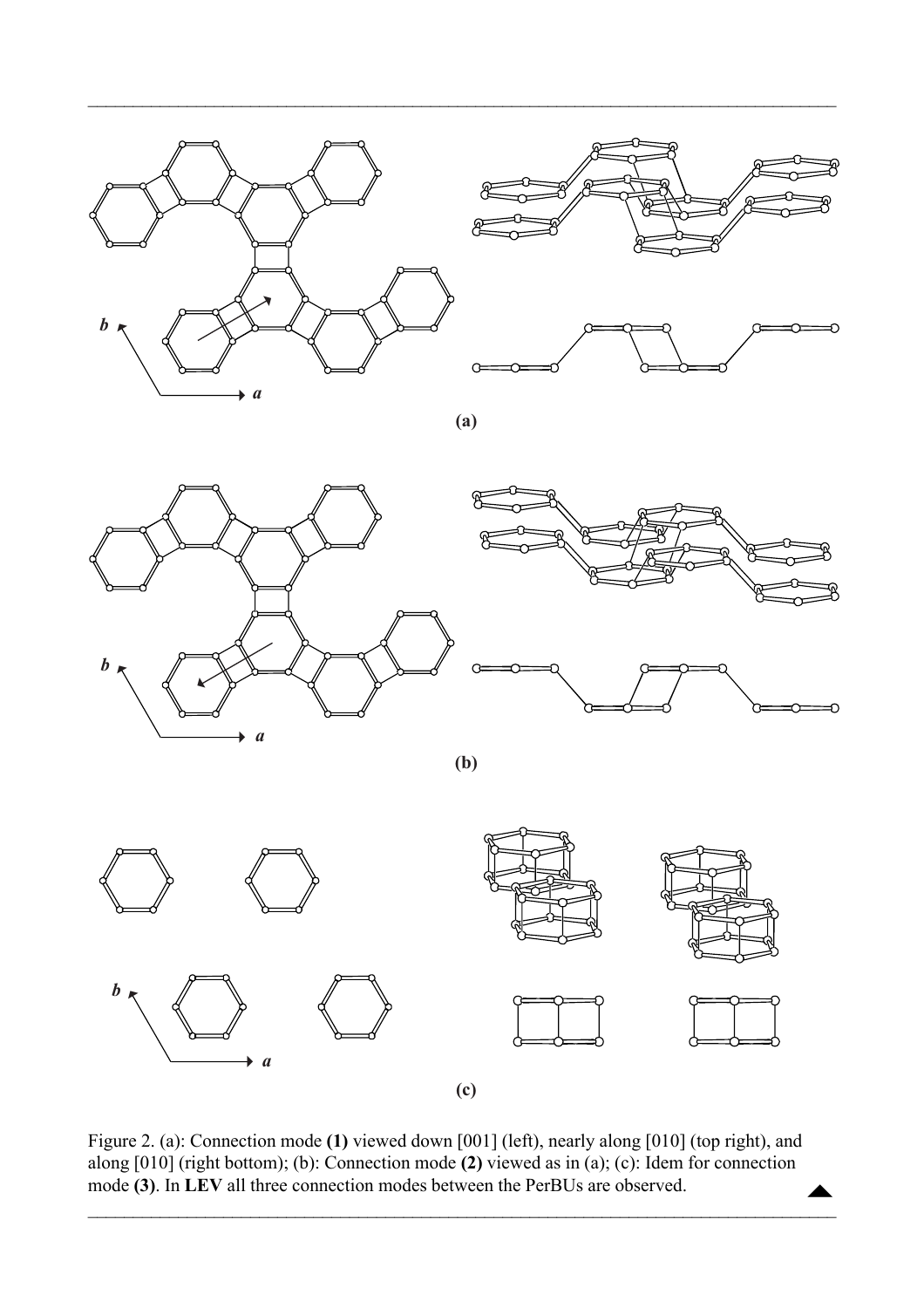



**(a)**

 $\mathcal{L}_\mathcal{L} = \mathcal{L}_\mathcal{L} = \mathcal{L}_\mathcal{L} = \mathcal{L}_\mathcal{L} = \mathcal{L}_\mathcal{L} = \mathcal{L}_\mathcal{L} = \mathcal{L}_\mathcal{L} = \mathcal{L}_\mathcal{L} = \mathcal{L}_\mathcal{L} = \mathcal{L}_\mathcal{L} = \mathcal{L}_\mathcal{L} = \mathcal{L}_\mathcal{L} = \mathcal{L}_\mathcal{L} = \mathcal{L}_\mathcal{L} = \mathcal{L}_\mathcal{L} = \mathcal{L}_\mathcal{L} = \mathcal{L}_\mathcal{L}$ 



**(b)**



Figure 2. (a): Connection mode **(1)** viewed down [001] (left), nearly along [010] (top right), and along [010] (right bottom); (b): Connection mode **(2)** viewed as in (a); (c): Idem for connection mode (3). In LEV all three connection modes between the PerBUs are observed.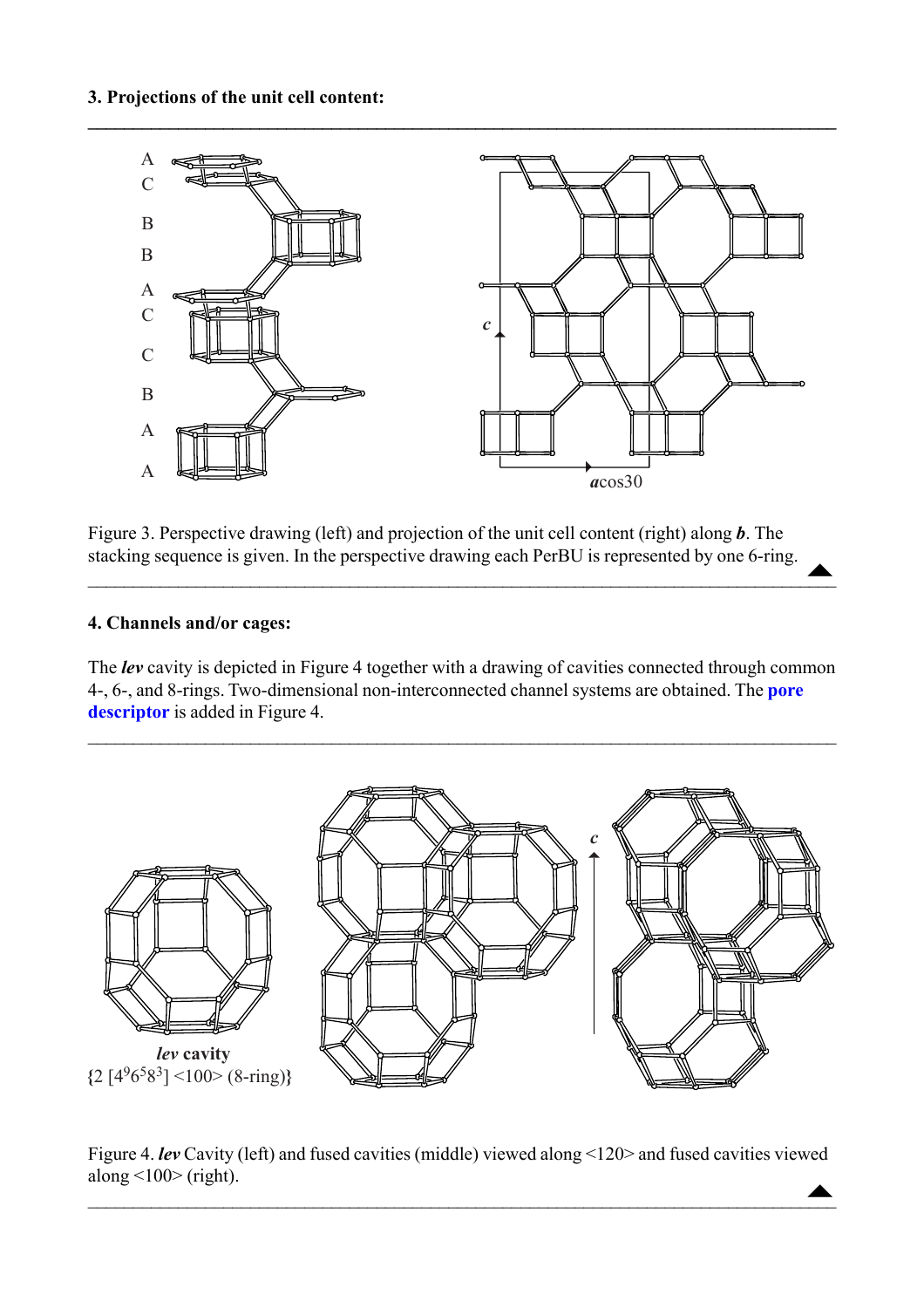<span id="page-2-0"></span>

Figure 3. Perspective drawing (left) and projection of the unit cell content (right) along *b*. The stacking sequence is given. In the perspective drawing each PerBU is represented by one 6-ring.  $\triangle$ 

 $\blacksquare$  . The contract of the contract of the contract of the contract of the contract of the contract of the contract of the contract of the contract of the contract of the contract of the contract of the contract of the

### **4. Channels and/or cages:**

The *lev* cavity is depicted in Figure 4 together with a drawing of cavities connected through common 4-, 6-, and 8-rings. Two-dimensional non-interconnected channel systems are obtained. The **[pore](http://www.iza-structure.org/databases/ModelBuilding/Introduction.pdf) [descriptor](http://www.iza-structure.org/databases/ModelBuilding/Introduction.pdf)** is added in Figure 4.

 $\mathcal{L}_\mathcal{L} = \mathcal{L}_\mathcal{L} = \mathcal{L}_\mathcal{L} = \mathcal{L}_\mathcal{L} = \mathcal{L}_\mathcal{L} = \mathcal{L}_\mathcal{L} = \mathcal{L}_\mathcal{L} = \mathcal{L}_\mathcal{L} = \mathcal{L}_\mathcal{L} = \mathcal{L}_\mathcal{L} = \mathcal{L}_\mathcal{L} = \mathcal{L}_\mathcal{L} = \mathcal{L}_\mathcal{L} = \mathcal{L}_\mathcal{L} = \mathcal{L}_\mathcal{L} = \mathcal{L}_\mathcal{L} = \mathcal{L}_\mathcal{L}$ 



Figure 4. *lev* Cavity (left) and fused cavities (middle) viewed along <120> and fused cavities viewed along  $\langle 100 \rangle$  (right).  $\triangle$ 

 $\blacktriangle$  , and the contract of the contract of the contract of the contract of the contract of the contract of the contract of the contract of the contract of the contract of the contract of the contract of the contract of t